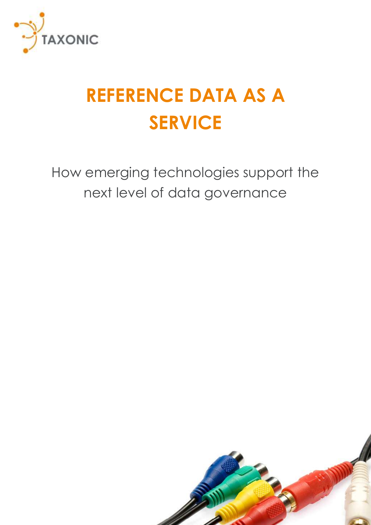

# **REFERENCE DATA AS A SERVICE**

How emerging technologies support the next level of data governance

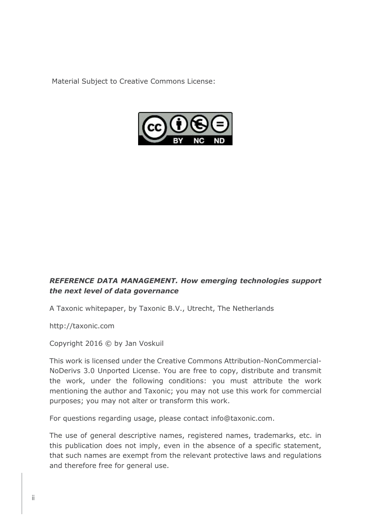Material Subject to Creative Commons License:



#### *REFERENCE DATA MANAGEMENT. How emerging technologies support the next level of data governance*

A Taxonic whitepaper, by Taxonic B.V., Utrecht, The Netherlands

http://taxonic.com

Copyright 2016 © by Jan Voskuil

This work is licensed under the Creative Commons Attribution-NonCommercial-NoDerivs 3.0 Unported License. You are free to copy, distribute and transmit the work, under the following conditions: you must attribute the work mentioning the author and Taxonic; you may not use this work for commercial purposes; you may not alter or transform this work.

For questions regarding usage, please contact info@taxonic.com.

The use of general descriptive names, registered names, trademarks, etc. in this publication does not imply, even in the absence of a specific statement, that such names are exempt from the relevant protective laws and regulations and therefore free for general use.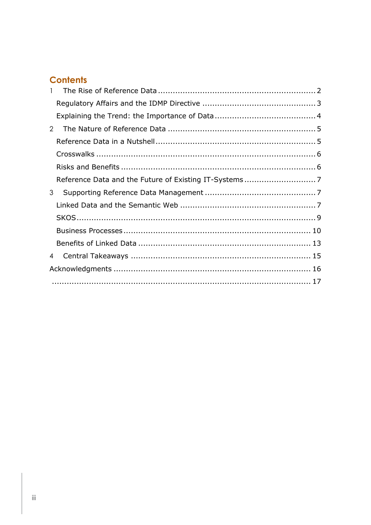### **Contents**

| $\mathbf{1}$   |  |
|----------------|--|
|                |  |
|                |  |
| $\overline{2}$ |  |
|                |  |
|                |  |
|                |  |
|                |  |
| 3              |  |
|                |  |
|                |  |
|                |  |
|                |  |
| $\overline{4}$ |  |
|                |  |
|                |  |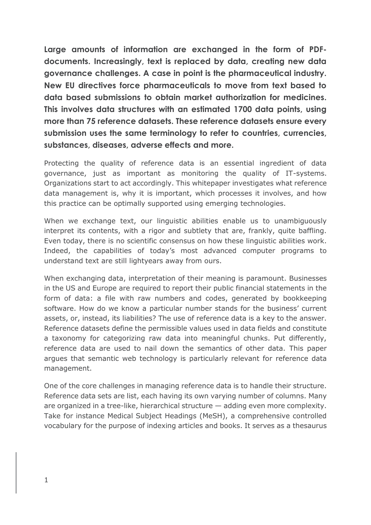**Large amounts of information are exchanged in the form of PDFdocuments. Increasingly, text is replaced by data, creating new data governance challenges. A case in point is the pharmaceutical industry. New EU directives force pharmaceuticals to move from text based to data based submissions to obtain market authorization for medicines. This involves data structures with an estimated 1700 data points, using more than 75 reference datasets. These reference datasets ensure every submission uses the same terminology to refer to countries, currencies, substances, diseases, adverse effects and more.**

Protecting the quality of reference data is an essential ingredient of data governance, just as important as monitoring the quality of IT-systems. Organizations start to act accordingly. This whitepaper investigates what reference data management is, why it is important, which processes it involves, and how this practice can be optimally supported using emerging technologies.

When we exchange text, our linguistic abilities enable us to unambiguously interpret its contents, with a rigor and subtlety that are, frankly, quite baffling. Even today, there is no scientific consensus on how these linguistic abilities work. Indeed, the capabilities of today's most advanced computer programs to understand text are still lightyears away from ours.

When exchanging data, interpretation of their meaning is paramount. Businesses in the US and Europe are required to report their public financial statements in the form of data: a file with raw numbers and codes, generated by bookkeeping software. How do we know a particular number stands for the business' current assets, or, instead, its liabilities? The use of reference data is a key to the answer. Reference datasets define the permissible values used in data fields and constitute a taxonomy for categorizing raw data into meaningful chunks. Put differently, reference data are used to nail down the semantics of other data. This paper argues that semantic web technology is particularly relevant for reference data management.

One of the core challenges in managing reference data is to handle their structure. Reference data sets are list, each having its own varying number of columns. Many are organized in a tree-like, hierarchical structure — adding even more complexity. Take for instance Medical Subject Headings (MeSH), a comprehensive controlled vocabulary for the purpose of indexing articles and books. It serves as a thesaurus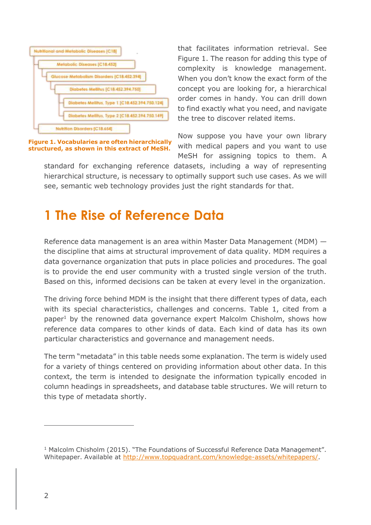

**Figure 1. Vocabularies are often hierarchically structured, as shown in this extract of MeSH.**

that facilitates information retrieval. See Figure 1. The reason for adding this type of complexity is knowledge management. When you don't know the exact form of the concept you are looking for, a hierarchical order comes in handy. You can drill down to find exactly what you need, and navigate the tree to discover related items.

Now suppose you have your own library with medical papers and you want to use MeSH for assigning topics to them. A

standard for exchanging reference datasets, including a way of representing hierarchical structure, is necessary to optimally support such use cases. As we will see, semantic web technology provides just the right standards for that.

### <span id="page-4-0"></span>**1 The Rise of Reference Data**

Reference data management is an area within Master Data Management (MDM) the discipline that aims at structural improvement of data quality. MDM requires a data governance organization that puts in place policies and procedures. The goal is to provide the end user community with a trusted single version of the truth. Based on this, informed decisions can be taken at every level in the organization.

The driving force behind MDM is the insight that there different types of data, each with its special characteristics, challenges and concerns. Table 1, cited from a paper<sup>1</sup> by the renowned data governance expert Malcolm Chisholm, shows how reference data compares to other kinds of data. Each kind of data has its own particular characteristics and governance and management needs.

The term "metadata" in this table needs some explanation. The term is widely used for a variety of things centered on providing information about other data. In this context, the term is intended to designate the information typically encoded in column headings in spreadsheets, and database table structures. We will return to this type of metadata shortly.

 $\overline{a}$ 

<sup>&</sup>lt;sup>1</sup> Malcolm Chisholm (2015). "The Foundations of Successful Reference Data Management". Whitepaper. Available at [http://www.topquadrant.com/knowledge-assets/whitepapers/.](http://www.topquadrant.com/knowledge-assets/whitepapers/)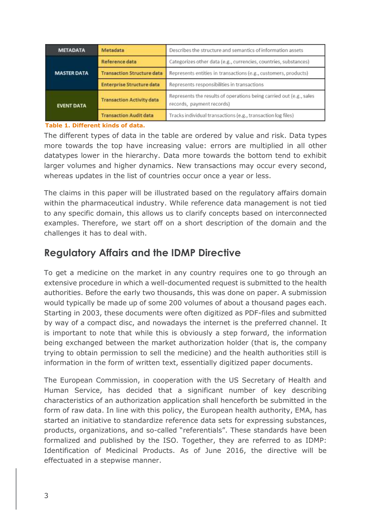| <b>METADATA</b>    | Metadata                          | Describes the structure and semantics of information assets                                      |
|--------------------|-----------------------------------|--------------------------------------------------------------------------------------------------|
|                    | Reference data                    | Categorizes other data (e.g., currencies, countries, substances)                                 |
| <b>MASTER DATA</b> | <b>Transaction Structure data</b> | Represents entities in transactions (e.g., customers, products)                                  |
|                    | <b>Enterprise Structure data</b>  | Represents responsibilities in transactions                                                      |
| <b>EVENT DATA</b>  | <b>Transaction Activity data</b>  | Represents the results of operations being carried out (e.g., sales<br>records, payment records) |
|                    | <b>Transaction Audit data</b>     | Tracks individual transactions (e.g., transaction log files)                                     |

#### **Table 1. Different kinds of data.**

The different types of data in the table are ordered by value and risk. Data types more towards the top have increasing value: errors are multiplied in all other datatypes lower in the hierarchy. Data more towards the bottom tend to exhibit larger volumes and higher dynamics. New transactions may occur every second, whereas updates in the list of countries occur once a year or less.

The claims in this paper will be illustrated based on the regulatory affairs domain within the pharmaceutical industry. While reference data management is not tied to any specific domain, this allows us to clarify concepts based on interconnected examples. Therefore, we start off on a short description of the domain and the challenges it has to deal with.

### <span id="page-5-0"></span>**Regulatory Affairs and the IDMP Directive**

To get a medicine on the market in any country requires one to go through an extensive procedure in which a well-documented request is submitted to the health authorities. Before the early two thousands, this was done on paper. A submission would typically be made up of some 200 volumes of about a thousand pages each. Starting in 2003, these documents were often digitized as PDF-files and submitted by way of a compact disc, and nowadays the internet is the preferred channel. It is important to note that while this is obviously a step forward, the information being exchanged between the market authorization holder (that is, the company trying to obtain permission to sell the medicine) and the health authorities still is information in the form of written text, essentially digitized paper documents.

The European Commission, in cooperation with the US Secretary of Health and Human Service, has decided that a significant number of key describing characteristics of an authorization application shall henceforth be submitted in the form of raw data. In line with this policy, the European health authority, EMA, has started an initiative to standardize reference data sets for expressing substances, products, organizations, and so-called "referentials". These standards have been formalized and published by the ISO. Together, they are referred to as IDMP: Identification of Medicinal Products. As of June 2016, the directive will be effectuated in a stepwise manner.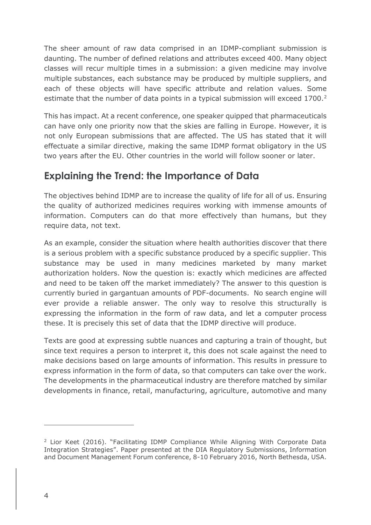The sheer amount of raw data comprised in an IDMP-compliant submission is daunting. The number of defined relations and attributes exceed 400. Many object classes will recur multiple times in a submission: a given medicine may involve multiple substances, each substance may be produced by multiple suppliers, and each of these objects will have specific attribute and relation values. Some estimate that the number of data points in a typical submission will exceed 1700.<sup>2</sup>

This has impact. At a recent conference, one speaker quipped that pharmaceuticals can have only one priority now that the skies are falling in Europe. However, it is not only European submissions that are affected. The US has stated that it will effectuate a similar directive, making the same IDMP format obligatory in the US two years after the EU. Other countries in the world will follow sooner or later.

### <span id="page-6-0"></span>**Explaining the Trend: the Importance of Data**

The objectives behind IDMP are to increase the quality of life for all of us. Ensuring the quality of authorized medicines requires working with immense amounts of information. Computers can do that more effectively than humans, but they require data, not text.

As an example, consider the situation where health authorities discover that there is a serious problem with a specific substance produced by a specific supplier. This substance may be used in many medicines marketed by many market authorization holders. Now the question is: exactly which medicines are affected and need to be taken off the market immediately? The answer to this question is currently buried in gargantuan amounts of PDF-documents. No search engine will ever provide a reliable answer. The only way to resolve this structurally is expressing the information in the form of raw data, and let a computer process these. It is precisely this set of data that the IDMP directive will produce.

Texts are good at expressing subtle nuances and capturing a train of thought, but since text requires a person to interpret it, this does not scale against the need to make decisions based on large amounts of information. This results in pressure to express information in the form of data, so that computers can take over the work. The developments in the pharmaceutical industry are therefore matched by similar developments in finance, retail, manufacturing, agriculture, automotive and many

 $\overline{a}$ 

<sup>2</sup> Lior Keet (2016). "Facilitating IDMP Compliance While Aligning With Corporate Data Integration Strategies". Paper presented at the DIA Regulatory Submissions, Information and Document Management Forum conference, 8-10 February 2016, North Bethesda, USA.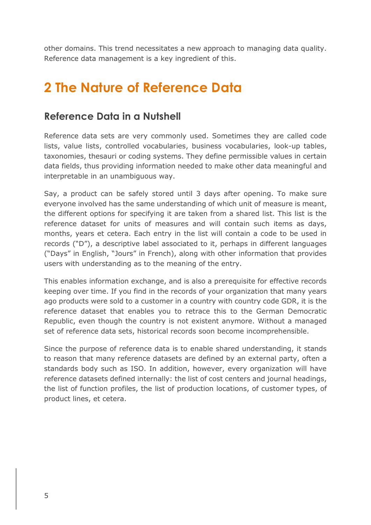other domains. This trend necessitates a new approach to managing data quality. Reference data management is a key ingredient of this.

### <span id="page-7-0"></span>**2 The Nature of Reference Data**

#### <span id="page-7-1"></span>**Reference Data in a Nutshell**

Reference data sets are very commonly used. Sometimes they are called code lists, value lists, controlled vocabularies, business vocabularies, look-up tables, taxonomies, thesauri or coding systems. They define permissible values in certain data fields, thus providing information needed to make other data meaningful and interpretable in an unambiguous way.

Say, a product can be safely stored until 3 days after opening. To make sure everyone involved has the same understanding of which unit of measure is meant, the different options for specifying it are taken from a shared list. This list is the reference dataset for units of measures and will contain such items as days, months, years et cetera. Each entry in the list will contain a code to be used in records ("D"), a descriptive label associated to it, perhaps in different languages ("Days" in English, "Jours" in French), along with other information that provides users with understanding as to the meaning of the entry.

This enables information exchange, and is also a prerequisite for effective records keeping over time. If you find in the records of your organization that many years ago products were sold to a customer in a country with country code GDR, it is the reference dataset that enables you to retrace this to the German Democratic Republic, even though the country is not existent anymore. Without a managed set of reference data sets, historical records soon become incomprehensible.

Since the purpose of reference data is to enable shared understanding, it stands to reason that many reference datasets are defined by an external party, often a standards body such as ISO. In addition, however, every organization will have reference datasets defined internally: the list of cost centers and journal headings, the list of function profiles, the list of production locations, of customer types, of product lines, et cetera.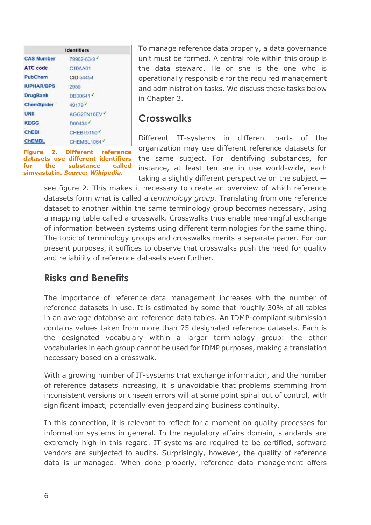|                   | <b>Identifiers</b> |
|-------------------|--------------------|
| <b>CAS Number</b> | 79902-63-9         |
| <b>ATC</b> code   | C10AA01            |
| PubChem           | CID 54454          |
| <b>IUPHAR/BPS</b> | 2955               |
| <b>DrugBank</b>   | DB00641            |
| ChemSpider        | 49179              |
| UNII              | AGG2FN16EV         |
| <b>KEGG</b>       | D00434             |
| <b>ChEBI</b>      | CHEBI:9150         |
| <b>CHEMBL</b>     | CHEMBL1064         |

To manage reference data properly, a data governance unit must be formed. A central role within this group is the data steward. He or she is the one who is operationally responsible for the required management and administration tasks. We discuss these tasks below in Chapter 3.

#### <span id="page-8-0"></span>**Crosswalks**

**Figure 2. Different reference datasets use different identifiers for the substance called simvastatin.** *Source: Wikipedia.*

Different IT-systems in different parts of the organization may use different reference datasets for the same subject. For identifying substances, for instance, at least ten are in use world-wide, each taking a slightly different perspective on the subject —

see figure 2. This makes it necessary to create an overview of which reference datasets form what is called a *terminology group.* Translating from one reference dataset to another within the same terminology group becomes necessary, using a mapping table called a crosswalk. Crosswalks thus enable meaningful exchange of information between systems using different terminologies for the same thing. The topic of terminology groups and crosswalks merits a separate paper. For our present purposes, it suffices to observe that crosswalks push the need for quality and reliability of reference datasets even further.

### <span id="page-8-1"></span>**Risks and Benefits**

The importance of reference data management increases with the number of reference datasets in use. It is estimated by some that roughly 30% of all tables in an average database are reference data tables. An IDMP-compliant submission contains values taken from more than 75 designated reference datasets. Each is the designated vocabulary within a larger terminology group: the other vocabularies in each group cannot be used for IDMP purposes, making a translation necessary based on a crosswalk.

With a growing number of IT-systems that exchange information, and the number of reference datasets increasing, it is unavoidable that problems stemming from inconsistent versions or unseen errors will at some point spiral out of control, with significant impact, potentially even jeopardizing business continuity.

In this connection, it is relevant to reflect for a moment on quality processes for information systems in general. In the regulatory affairs domain, standards are extremely high in this regard. IT-systems are required to be certified, software vendors are subjected to audits. Surprisingly, however, the quality of reference data is unmanaged. When done properly, reference data management offers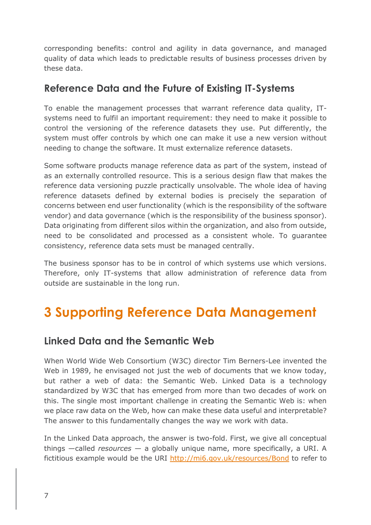corresponding benefits: control and agility in data governance, and managed quality of data which leads to predictable results of business processes driven by these data.

### <span id="page-9-0"></span>**Reference Data and the Future of Existing IT-Systems**

To enable the management processes that warrant reference data quality, ITsystems need to fulfil an important requirement: they need to make it possible to control the versioning of the reference datasets they use. Put differently, the system must offer controls by which one can make it use a new version without needing to change the software. It must externalize reference datasets.

Some software products manage reference data as part of the system, instead of as an externally controlled resource. This is a serious design flaw that makes the reference data versioning puzzle practically unsolvable. The whole idea of having reference datasets defined by external bodies is precisely the separation of concerns between end user functionality (which is the responsibility of the software vendor) and data governance (which is the responsibility of the business sponsor). Data originating from different silos within the organization, and also from outside, need to be consolidated and processed as a consistent whole. To guarantee consistency, reference data sets must be managed centrally.

The business sponsor has to be in control of which systems use which versions. Therefore, only IT-systems that allow administration of reference data from outside are sustainable in the long run.

### <span id="page-9-1"></span>**3 Supporting Reference Data Management**

### <span id="page-9-2"></span>**Linked Data and the Semantic Web**

When World Wide Web Consortium (W3C) director Tim Berners-Lee invented the Web in 1989, he envisaged not just the web of documents that we know today, but rather a web of data: the Semantic Web. Linked Data is a technology standardized by W3C that has emerged from more than two decades of work on this. The single most important challenge in creating the Semantic Web is: when we place raw data on the Web, how can make these data useful and interpretable? The answer to this fundamentally changes the way we work with data.

In the Linked Data approach, the answer is two-fold. First, we give all conceptual things —called *resources* — a globally unique name, more specifically, a URI. A fictitious example would be the URI<http://mi6.gov.uk/resources/Bond> to refer to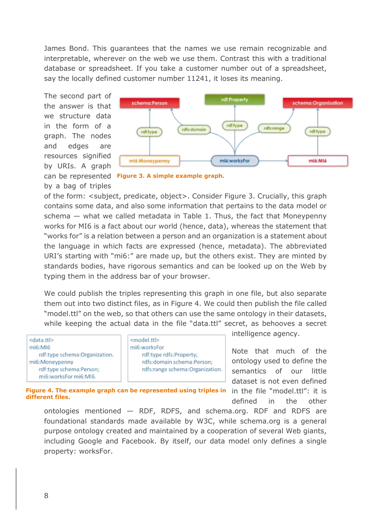James Bond. This guarantees that the names we use remain recognizable and interpretable, wherever on the web we use them. Contrast this with a traditional database or spreadsheet. If you take a customer number out of a spreadsheet, say the locally defined customer number 11241, it loses its meaning.

The second part of the answer is that we structure data in the form of a graph. The nodes and edges are resources signified by URIs. A graph by a bag of triples





of the form: <subject, predicate, object>. Consider Figure 3. Crucially, this graph contains some data, and also some information that pertains to the data model or schema — what we called metadata in Table 1. Thus, the fact that Moneypenny works for MI6 is a fact about our world (hence, data), whereas the statement that "works for" is a relation between a person and an organization is a statement about the language in which facts are expressed (hence, metadata). The abbreviated URI's starting with "mi6:" are made up, but the others exist. They are minted by standards bodies, have rigorous semantics and can be looked up on the Web by typing them in the address bar of your browser.

We could publish the triples representing this graph in one file, but also separate them out into two distinct files, as in Figure 4. We could then publish the file called "model.ttl" on the web, so that others can use the same ontology in their datasets, while keeping the actual data in the file "data.ttl" secret, as behooves a secret

<data.ttl> mi6:MI6 rdf:type schema:Organization. mi6:Moneypenny rdf:type schema:Person; mi6:worksFor mi6:MI6.

<model.ttl> mi6:worksFor rdf:type rdfs:Property; rdfs:domain schema:Person; rdfs:range schema:Organization. intelligence agency.

Note that much of the ontology used to define the semantics of our little dataset is not even defined in the file "model.ttl": it is defined in the other

**Figure 4. The example graph can be represented using triples in different files.**

ontologies mentioned — RDF, RDFS, and schema.org. RDF and RDFS are foundational standards made available by W3C, while schema.org is a general purpose ontology created and maintained by a cooperation of several Web giants, including Google and Facebook. By itself, our data model only defines a single property: worksFor.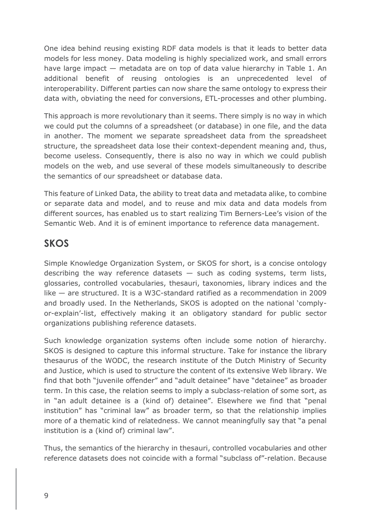One idea behind reusing existing RDF data models is that it leads to better data models for less money. Data modeling is highly specialized work, and small errors have large impact — metadata are on top of data value hierarchy in Table 1. An additional benefit of reusing ontologies is an unprecedented level of interoperability. Different parties can now share the same ontology to express their data with, obviating the need for conversions, ETL-processes and other plumbing.

This approach is more revolutionary than it seems. There simply is no way in which we could put the columns of a spreadsheet (or database) in one file, and the data in another. The moment we separate spreadsheet data from the spreadsheet structure, the spreadsheet data lose their context-dependent meaning and, thus, become useless. Consequently, there is also no way in which we could publish models on the web, and use several of these models simultaneously to describe the semantics of our spreadsheet or database data.

This feature of Linked Data, the ability to treat data and metadata alike, to combine or separate data and model, and to reuse and mix data and data models from different sources, has enabled us to start realizing Tim Berners-Lee's vision of the Semantic Web. And it is of eminent importance to reference data management.

### <span id="page-11-0"></span>**SKOS**

Simple Knowledge Organization System, or SKOS for short, is a concise ontology describing the way reference datasets  $-$  such as coding systems, term lists, glossaries, controlled vocabularies, thesauri, taxonomies, library indices and the like — are structured. It is a W3C-standard ratified as a recommendation in 2009 and broadly used. In the Netherlands, SKOS is adopted on the national 'complyor-explain'-list, effectively making it an obligatory standard for public sector organizations publishing reference datasets.

Such knowledge organization systems often include some notion of hierarchy. SKOS is designed to capture this informal structure. Take for instance the library thesaurus of the WODC, the research institute of the Dutch Ministry of Security and Justice, which is used to structure the content of its extensive Web library. We find that both "juvenile offender" and "adult detainee" have "detainee" as broader term. In this case, the relation seems to imply a subclass-relation of some sort, as in "an adult detainee is a (kind of) detainee". Elsewhere we find that "penal institution" has "criminal law" as broader term, so that the relationship implies more of a thematic kind of relatedness. We cannot meaningfully say that "a penal institution is a (kind of) criminal law".

Thus, the semantics of the hierarchy in thesauri, controlled vocabularies and other reference datasets does not coincide with a formal "subclass of"-relation. Because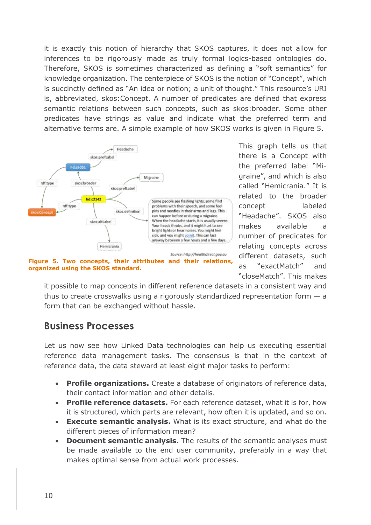it is exactly this notion of hierarchy that SKOS captures, it does not allow for inferences to be rigorously made as truly formal logics-based ontologies do. Therefore, SKOS is sometimes characterized as defining a "soft semantics" for knowledge organization. The centerpiece of SKOS is the notion of "Concept", which is succinctly defined as "An idea or notion; a unit of thought." This resource's URI is, abbreviated, skos:Concept. A number of predicates are defined that express semantic relations between such concepts, such as skos:broader. Some other predicates have strings as value and indicate what the preferred term and alternative terms are. A simple example of how SKOS works is given in Figure 5.



**Figure 5. Two concepts, their attributes and their relations, organized using the SKOS standard.**

This graph tells us that there is a Concept with the preferred label "Migraine", and which is also called "Hemicrania." It is related to the broader concept labeled "Headache". SKOS also makes available a number of predicates for relating concepts across different datasets, such as "exactMatch" and "closeMatch". This makes

it possible to map concepts in different reference datasets in a consistent way and thus to create crosswalks using a rigorously standardized representation form  $-$  a form that can be exchanged without hassle.

### <span id="page-12-0"></span>**Business Processes**

Let us now see how Linked Data technologies can help us executing essential reference data management tasks. The consensus is that in the context of reference data, the data steward at least eight major tasks to perform:

- **Profile organizations.** Create a database of originators of reference data, their contact information and other details.
- **Profile reference datasets.** For each reference dataset, what it is for, how it is structured, which parts are relevant, how often it is updated, and so on.
- **Execute semantic analysis.** What is its exact structure, and what do the different pieces of information mean?
- **Document semantic analysis.** The results of the semantic analyses must be made available to the end user community, preferably in a way that makes optimal sense from actual work processes.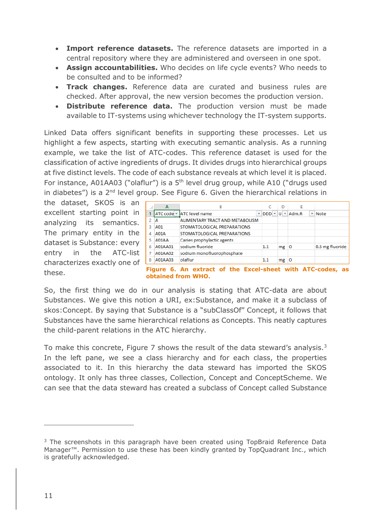- **Import reference datasets.** The reference datasets are imported in a central repository where they are administered and overseen in one spot.
- **Assign accountabilities.** Who decides on life cycle events? Who needs to be consulted and to be informed?
- **Track changes.** Reference data are curated and business rules are checked. After approval, the new version becomes the production version.
- **Distribute reference data.** The production version must be made available to IT-systems using whichever technology the IT-system supports.

Linked Data offers significant benefits in supporting these processes. Let us highlight a few aspects, starting with executing semantic analysis. As a running example, we take the list of ATC-codes. This reference dataset is used for the classification of active ingredients of drugs. It divides drugs into hierarchical groups at five distinct levels. The code of each substance reveals at which level it is placed. For instance, A01AA03 ("olaflur") is a 5<sup>th</sup> level drug group, while A10 ("drugs used in diabetes") is a  $2<sup>nd</sup>$  level group. See Figure 6. Given the hierarchical relations in

the dataset, SKOS is an excellent starting point in analyzing its semantics. The primary entity in the dataset is Substance: every entry in the ATC-list characterizes exactly one of these.

|   | A       | B                                                    |                           | D  | E     |                          |                 |
|---|---------|------------------------------------------------------|---------------------------|----|-------|--------------------------|-----------------|
|   |         | ATC code v ATC level name<br>$\overline{\mathbf{v}}$ | $DDD$ $\vee$ $ U $ $\vee$ |    | Adm.R | $\overline{\phantom{a}}$ | <b>Note</b>     |
|   | Α       | ALIMENTARY TRACT AND METABOLISM                      |                           |    |       |                          |                 |
| 3 | A01     | STOMATOLOGICAL PREPARATIONS                          |                           |    |       |                          |                 |
| Δ | A01A    | STOMATOLOGICAL PREPARATIONS                          |                           |    |       |                          |                 |
| 5 | A01AA   | Caries prophylactic agents                           |                           |    |       |                          |                 |
| 6 | A01AA01 | sodium fluoride                                      | 1.1                       | mg | Ю     |                          | 0.5 mg fluoride |
|   | A01AA02 | sodium monofluorophosphate                           |                           |    |       |                          |                 |
| 8 | A01AA03 | olaflur                                              | 1.1                       | mg | O     |                          |                 |

**obtained from WHO.**

So, the first thing we do in our analysis is stating that ATC-data are about Substances. We give this notion a URI, ex:Substance, and make it a subclass of skos:Concept. By saying that Substance is a "subClassOf" Concept, it follows that Substances have the same hierarchical relations as Concepts. This neatly captures the child-parent relations in the ATC hierarchy.

To make this concrete, Figure 7 shows the result of the data steward's analysis.<sup>3</sup> In the left pane, we see a class hierarchy and for each class, the properties associated to it. In this hierarchy the data steward has imported the SKOS ontology. It only has three classes, Collection, Concept and ConceptScheme. We can see that the data steward has created a subclass of Concept called Substance

 $\overline{a}$ 

<sup>&</sup>lt;sup>3</sup> The screenshots in this paragraph have been created using TopBraid Reference Data Manager™. Permission to use these has been kindly granted by TopQuadrant Inc., which is gratefully acknowledged.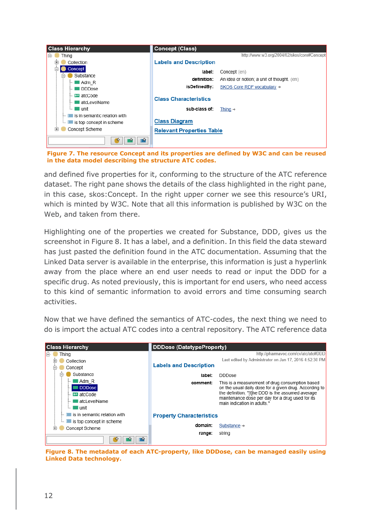| <b>Class Hierarchy</b>                                         | <b>Concept (Class)</b>                        |                                                            |
|----------------------------------------------------------------|-----------------------------------------------|------------------------------------------------------------|
| Thing<br>同                                                     |                                               | http://www.w3.org/2004/02/skos/core#Concept                |
| Collection                                                     | <b>Labels and Description</b>                 |                                                            |
| Concept<br>Substance                                           | label:<br>definition:                         | Concept (en)<br>An idea or notion; a unit of thought. (en) |
| ■Adm R<br>DDD <sub>ose</sub>                                   | isDefinedBy:                                  | SKOS Core RDF vocabulary $\rightarrow$                     |
| $\blacksquare$ atcCode<br>atcLevelName<br>— unit<br>Sep.       | <b>Class Characteristics</b><br>sub-class of: | Thing $\rightarrow$                                        |
| is in semantic relation with<br>is top concept in scheme<br>h. | <b>Class Diagram</b>                          |                                                            |
| Concept Scheme<br>田                                            | <b>Relevant Properties Table</b>              |                                                            |
|                                                                |                                               |                                                            |

**Figure 7. The resource Concept and its properties are defined by W3C and can be reused in the data model describing the structure ATC codes.**

and defined five properties for it, conforming to the structure of the ATC reference dataset. The right pane shows the details of the class highlighted in the right pane, in this case, skos:Concept. In the right upper corner we see this resource's URI, which is minted by W3C. Note that all this information is published by W3C on the Web, and taken from there.

Highlighting one of the properties we created for Substance, DDD, gives us the screenshot in Figure 8. It has a label, and a definition. In this field the data steward has just pasted the definition found in the ATC documentation. Assuming that the Linked Data server is available in the enterprise, this information is just a hyperlink away from the place where an end user needs to read or input the DDD for a specific drug. As noted previously, this is important for end users, who need access to this kind of semantic information to avoid errors and time consuming search activities.

Now that we have defined the semantics of ATC-codes, the next thing we need to do is import the actual ATC codes into a central repository. The ATC reference data

| <b>Class Hierarchy</b>                                                | DDDose (DatatypeProperty)       |                                                                                                                                                                                                                                                   |
|-----------------------------------------------------------------------|---------------------------------|---------------------------------------------------------------------------------------------------------------------------------------------------------------------------------------------------------------------------------------------------|
| Thing                                                                 |                                 | http://pharmavoc.com/cv/atc/atc#DDD                                                                                                                                                                                                               |
| Collection                                                            |                                 | Last edited by Administrator on Jan 17, 2016 4:52:30 PM                                                                                                                                                                                           |
| Concept                                                               | <b>Labels and Description</b>   |                                                                                                                                                                                                                                                   |
| Substance<br>⊟                                                        | label:                          | <b>DDDose</b>                                                                                                                                                                                                                                     |
| Adm R<br><b>DDDose</b><br>atcCode<br>atcl evelName<br>∎ unit<br>1.1.1 | comment:                        | This is a measurement of drug consumption based<br>on the usual daily dose for a given drug. According to<br>the definition, "[t]he DDD is the assumed average<br>maintenance dose per day for a drug used for its<br>main indication in adults " |
| is in semantic relation with                                          | <b>Property Characteristics</b> |                                                                                                                                                                                                                                                   |
| is top concept in scheme<br>Concept Scheme                            | domain:                         | Substance $\rightarrow$                                                                                                                                                                                                                           |
|                                                                       | range:                          | string                                                                                                                                                                                                                                            |

**Figure 8. The metadata of each ATC-property, like DDDose, can be managed easily using Linked Data technology.**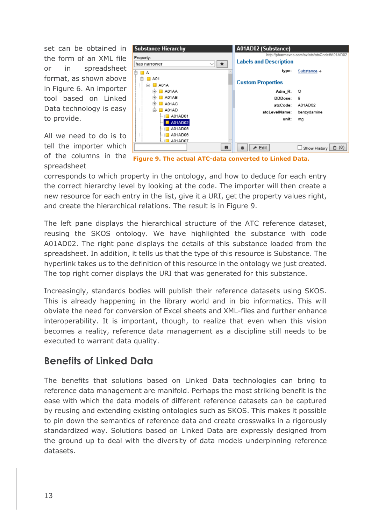set can be obtained in the form of an XML file or in spreadsheet format, as shown above in Figure 6. An importer tool based on Linked Data technology is easy to provide.

All we need to do is to tell the importer which of the columns in the spreadsheet



**Figure 9. The actual ATC-data converted to Linked Data.**

corresponds to which property in the ontology, and how to deduce for each entry the correct hierarchy level by looking at the code. The importer will then create a new resource for each entry in the list, give it a URI, get the property values right, and create the hierarchical relations. The result is in Figure 9.

The left pane displays the hierarchical structure of the ATC reference dataset, reusing the SKOS ontology. We have highlighted the substance with code A01AD02. The right pane displays the details of this substance loaded from the spreadsheet. In addition, it tells us that the type of this resource is Substance. The hyperlink takes us to the definition of this resource in the ontology we just created. The top right corner displays the URI that was generated for this substance.

Increasingly, standards bodies will publish their reference datasets using SKOS. This is already happening in the library world and in bio informatics. This will obviate the need for conversion of Excel sheets and XML-files and further enhance interoperability. It is important, though, to realize that even when this vision becomes a reality, reference data management as a discipline still needs to be executed to warrant data quality.

### <span id="page-15-0"></span>**Benefits of Linked Data**

The benefits that solutions based on Linked Data technologies can bring to reference data management are manifold. Perhaps the most striking benefit is the ease with which the data models of different reference datasets can be captured by reusing and extending existing ontologies such as SKOS. This makes it possible to pin down the semantics of reference data and create crosswalks in a rigorously standardized way. Solutions based on Linked Data are expressly designed from the ground up to deal with the diversity of data models underpinning reference datasets.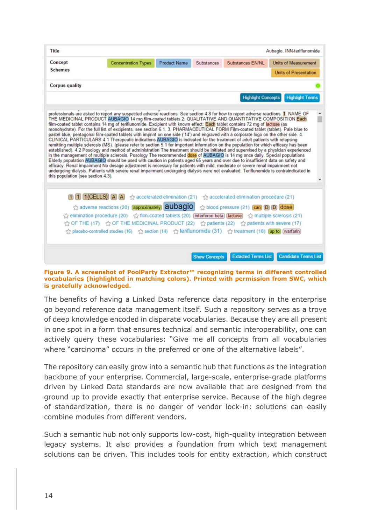| Title                              |                                                                                                                                                                                                                                                                                                                                                                                                                                                                                                                                                                                                                                                                                                                                                                                                                            |                     |            |                                                                                                                          | Aubagio, INN-teriflunomide   |
|------------------------------------|----------------------------------------------------------------------------------------------------------------------------------------------------------------------------------------------------------------------------------------------------------------------------------------------------------------------------------------------------------------------------------------------------------------------------------------------------------------------------------------------------------------------------------------------------------------------------------------------------------------------------------------------------------------------------------------------------------------------------------------------------------------------------------------------------------------------------|---------------------|------------|--------------------------------------------------------------------------------------------------------------------------|------------------------------|
| Concept                            | <b>Concentration Types</b>                                                                                                                                                                                                                                                                                                                                                                                                                                                                                                                                                                                                                                                                                                                                                                                                 | <b>Product Name</b> | Substances | Substances EN/NL                                                                                                         | <b>Units of Measurement</b>  |
| <b>Schemes</b>                     |                                                                                                                                                                                                                                                                                                                                                                                                                                                                                                                                                                                                                                                                                                                                                                                                                            |                     |            |                                                                                                                          | <b>Units of Presentation</b> |
| <b>Corpus quality</b>              |                                                                                                                                                                                                                                                                                                                                                                                                                                                                                                                                                                                                                                                                                                                                                                                                                            |                     |            |                                                                                                                          |                              |
|                                    |                                                                                                                                                                                                                                                                                                                                                                                                                                                                                                                                                                                                                                                                                                                                                                                                                            |                     |            | <b>Highlight Concepts</b>                                                                                                | <b>Highlight Terms</b>       |
|                                    | film-coated tablet contains 14 mg of teriflunomide. Excipient with known effect: Each tablet contains 72 mg of lactose (as<br>monohydrate). For the full list of excipients, see section 6.1. 3. PHARMACEUTICAL FORM Film-coated tablet (tablet). Pale blue to<br>pastel blue, pentagonal film-coated tablets with imprint on one side ('14') and engraved with a corporate logo on the other side. 4.                                                                                                                                                                                                                                                                                                                                                                                                                     |                     |            |                                                                                                                          |                              |
|                                    | remitting multiple sclerosis (MS), (please refer to section 5.1 for important information on the population for which efficacy has been<br>established). 4.2 Posology and method of administration The treatment should be initiated and supervised by a physician experienced<br>in the management of multiple sclerosis. Posology The recommended dose of AUBAGIO is 14 mg once daily. Special populations<br>Elderly population AUBAGIO should be used with caution in patients aged 65 years and over due to insufficient data on safety and<br>efficacy. Renal impairment No dosage adjustment is necessary for patients with mild, moderate or severe renal impairment not<br>undergoing dialysis. Patients with severe renal impairment undergoing dialysis were not evaluated. Teriflunomide is contraindicated in |                     |            | CLINICAL PARTICULARS 4.1 Therapeutic indications AUBAGIO is indicated for the treatment of adult patients with relapsing |                              |
|                                    | 1 [1] [1] $[1]$ $[1]$ $[CELLS]$ $[A]$ $[A]$ $[2]$ accelerated elimination (21) $\frac{1}{2}$ accelerated elimination procedure (21)<br>adverse reactions (20) <b>approximately aubagio</b> <>> $\sqrt{2}$ blood pressure (21) <b>can D D dose</b>                                                                                                                                                                                                                                                                                                                                                                                                                                                                                                                                                                          |                     |            |                                                                                                                          |                              |
|                                    | ☆ elimination procedure (20) ☆ film-coated tablets (20) [interferon beta) [lactose] ☆ multiple sclerosis (21)                                                                                                                                                                                                                                                                                                                                                                                                                                                                                                                                                                                                                                                                                                              |                     |            |                                                                                                                          |                              |
| this population (see section 4.3). | ☆ OF THE (17) ☆ OF THE MEDICINAL PRODUCT (22) ☆ patients (22) ☆ patients with severe (17)<br>☆ placebo-controlled studies (16) ☆ section (14) ☆ teriflunomide (31) ☆ treatment (18) [up to] (warfarin)                                                                                                                                                                                                                                                                                                                                                                                                                                                                                                                                                                                                                     |                     |            |                                                                                                                          |                              |

**Figure 9. A screenshot of PoolParty Extractor™ recognizing terms in different controlled vocabularies (highlighted in matching colors). Printed with permission from SWC, which is gratefully acknowledged.**

The benefits of having a Linked Data reference data repository in the enterprise go beyond reference data management itself. Such a repository serves as a trove of deep knowledge encoded in disparate vocabularies. Because they are all present in one spot in a form that ensures technical and semantic interoperability, one can actively query these vocabularies: "Give me all concepts from all vocabularies where "carcinoma" occurs in the preferred or one of the alternative labels".

The repository can easily grow into a semantic hub that functions as the integration backbone of your enterprise. Commercial, large-scale, enterprise-grade platforms driven by Linked Data standards are now available that are designed from the ground up to provide exactly that enterprise service. Because of the high degree of standardization, there is no danger of vendor lock-in: solutions can easily combine modules from different vendors.

Such a semantic hub not only supports low-cost, high-quality integration between legacy systems. It also provides a foundation from which text management solutions can be driven. This includes tools for entity extraction, which construct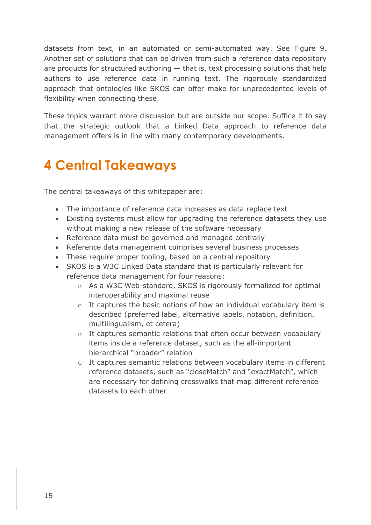datasets from text, in an automated or semi-automated way. See Figure 9. Another set of solutions that can be driven from such a reference data repository are products for structured authoring  $-$  that is, text processing solutions that help authors to use reference data in running text. The rigorously standardized approach that ontologies like SKOS can offer make for unprecedented levels of flexibility when connecting these.

These topics warrant more discussion but are outside our scope. Suffice it to say that the strategic outlook that a Linked Data approach to reference data management offers is in line with many contemporary developments.

## <span id="page-17-0"></span>**4 Central Takeaways**

The central takeaways of this whitepaper are:

- The importance of reference data increases as data replace text
- Existing systems must allow for upgrading the reference datasets they use without making a new release of the software necessary
- Reference data must be governed and managed centrally
- Reference data management comprises several business processes
- These require proper tooling, based on a central repository
- SKOS is a W3C Linked Data standard that is particularly relevant for reference data management for four reasons:
	- o As a W3C Web-standard, SKOS is rigorously formalized for optimal interoperability and maximal reuse
	- o It captures the basic notions of how an individual vocabulary item is described (preferred label, alternative labels, notation, definition, multilingualism, et cetera)
	- o It captures semantic relations that often occur between vocabulary items inside a reference dataset, such as the all-important hierarchical "broader" relation
	- o It captures semantic relations between vocabulary items in different reference datasets, such as "closeMatch" and "exactMatch", which are necessary for defining crosswalks that map different reference datasets to each other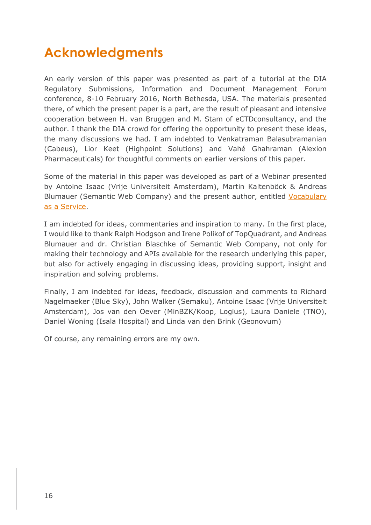## <span id="page-18-0"></span>**Acknowledgments**

An early version of this paper was presented as part of a tutorial at the DIA Regulatory Submissions, Information and Document Management Forum conference, 8-10 February 2016, North Bethesda, USA. The materials presented there, of which the present paper is a part, are the result of pleasant and intensive cooperation between H. van Bruggen and M. Stam of eCTDconsultancy, and the author. I thank the DIA crowd for offering the opportunity to present these ideas, the many discussions we had. I am indebted to Venkatraman Balasubramanian (Cabeus), Lior Keet (Highpoint Solutions) and Vahé Ghahraman (Alexion Pharmaceuticals) for thoughtful comments on earlier versions of this paper.

Some of the material in this paper was developed as part of a Webinar presented by Antoine Isaac (Vrije Universiteit Amsterdam), Martin Kaltenböck & Andreas Blumauer (Semantic Web Company) and the present author, entitled [Vocabulary](https://www.youtube.com/watch?v=GXhuFS6Htkc&feature=youtu.be)  [as a Service.](https://www.youtube.com/watch?v=GXhuFS6Htkc&feature=youtu.be)

I am indebted for ideas, commentaries and inspiration to many. In the first place, I would like to thank Ralph Hodgson and Irene Polikof of TopQuadrant, and Andreas Blumauer and dr. Christian Blaschke of Semantic Web Company, not only for making their technology and APIs available for the research underlying this paper, but also for actively engaging in discussing ideas, providing support, insight and inspiration and solving problems.

Finally, I am indebted for ideas, feedback, discussion and comments to Richard Nagelmaeker (Blue Sky), John Walker (Semaku), Antoine Isaac (Vrije Universiteit Amsterdam), Jos van den Oever (MinBZK/Koop, Logius), Laura Daniele (TNO), Daniel Woning (Isala Hospital) and Linda van den Brink (Geonovum)

Of course, any remaining errors are my own.